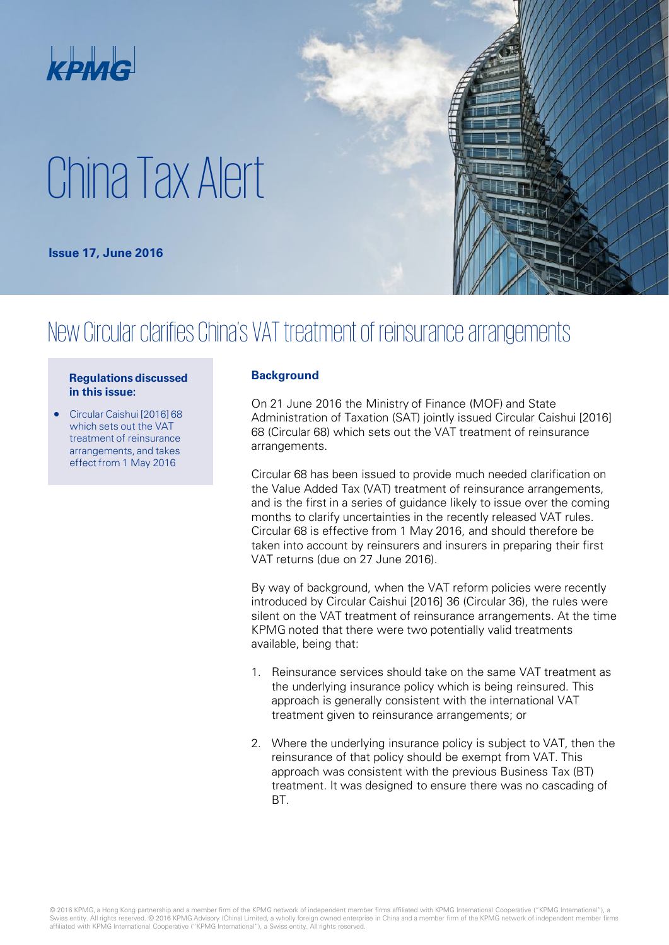

# China Tax Alert

**Issue 17, June 2016**



## New Circular clarifies China's VAT treatment of reinsurance arrangements

#### **Regulations discussed in this issue:**

• Circular Caishui [2016] 68 which sets out the VAT treatment of reinsurance arrangements, and takes effect from 1 May 2016

### **Background**

On 21 June 2016 the Ministry of Finance (MOF) and State Administration of Taxation (SAT) jointly issued Circular Caishui [2016] 68 (Circular 68) which sets out the VAT treatment of reinsurance arrangements.

Circular 68 has been issued to provide much needed clarification on the Value Added Tax (VAT) treatment of reinsurance arrangements, and is the first in a series of guidance likely to issue over the coming months to clarify uncertainties in the recently released VAT rules. Circular 68 is effective from 1 May 2016, and should therefore be taken into account by reinsurers and insurers in preparing their first VAT returns (due on 27 June 2016).

By way of background, when the VAT reform policies were recently introduced by Circular Caishui [2016] 36 (Circular 36), the rules were silent on the VAT treatment of reinsurance arrangements. At the time KPMG noted that there were two potentially valid treatments available, being that:

- 1. Reinsurance services should take on the same VAT treatment as the underlying insurance policy which is being reinsured. This approach is generally consistent with the international VAT treatment given to reinsurance arrangements; or
- 2. Where the underlying insurance policy is subject to VAT, then the reinsurance of that policy should be exempt from VAT. This approach was consistent with the previous Business Tax (BT) treatment. It was designed to ensure there was no cascading of BT.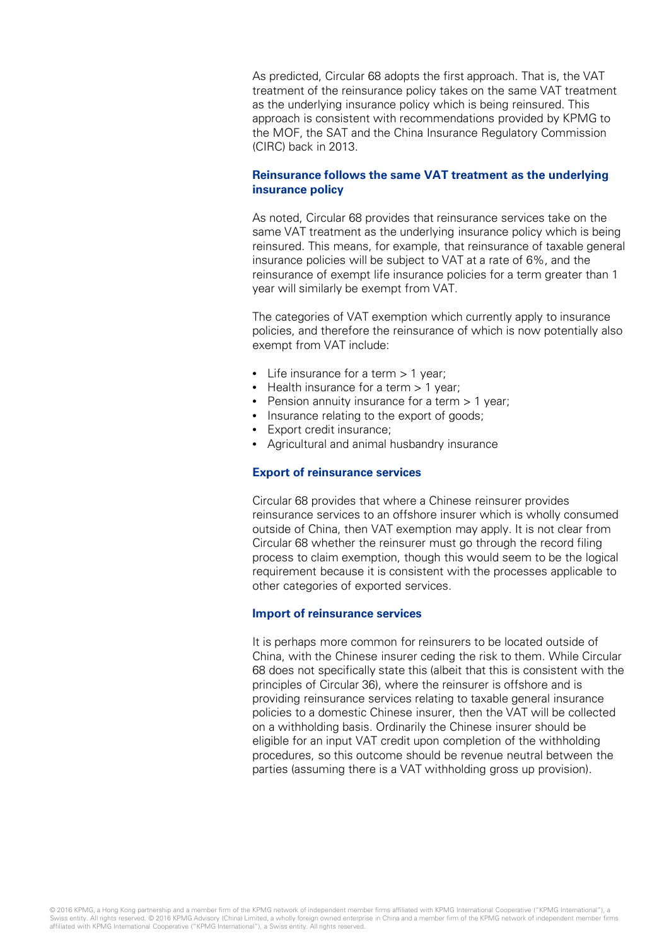As predicted, Circular 68 adopts the first approach. That is, the VAT treatment of the reinsurance policy takes on the same VAT treatment as the underlying insurance policy which is being reinsured. This approach is consistent with recommendations provided by KPMG to the MOF, the SAT and the China Insurance Regulatory Commission (CIRC) back in 2013.

#### **Reinsurance follows the same VAT treatment as the underlying insurance policy**

As noted, Circular 68 provides that reinsurance services take on the same VAT treatment as the underlying insurance policy which is being reinsured. This means, for example, that reinsurance of taxable general insurance policies will be subject to VAT at a rate of 6%, and the reinsurance of exempt life insurance policies for a term greater than 1 year will similarly be exempt from VAT.

The categories of VAT exemption which currently apply to insurance policies, and therefore the reinsurance of which is now potentially also exempt from VAT include:

- Life insurance for a term > 1 year;
- Health insurance for a term > 1 year:
- Pension annuity insurance for a term > 1 year;
- Insurance relating to the export of goods;
- Export credit insurance;
- Agricultural and animal husbandry insurance

#### **Export of reinsurance services**

Circular 68 provides that where a Chinese reinsurer provides reinsurance services to an offshore insurer which is wholly consumed outside of China, then VAT exemption may apply. It is not clear from Circular 68 whether the reinsurer must go through the record filing process to claim exemption, though this would seem to be the logical requirement because it is consistent with the processes applicable to other categories of exported services.

#### **Import of reinsurance services**

It is perhaps more common for reinsurers to be located outside of China, with the Chinese insurer ceding the risk to them. While Circular 68 does not specifically state this (albeit that this is consistent with the principles of Circular 36), where the reinsurer is offshore and is providing reinsurance services relating to taxable general insurance policies to a domestic Chinese insurer, then the VAT will be collected on a withholding basis. Ordinarily the Chinese insurer should be eligible for an input VAT credit upon completion of the withholding procedures, so this outcome should be revenue neutral between the parties (assuming there is a VAT withholding gross up provision).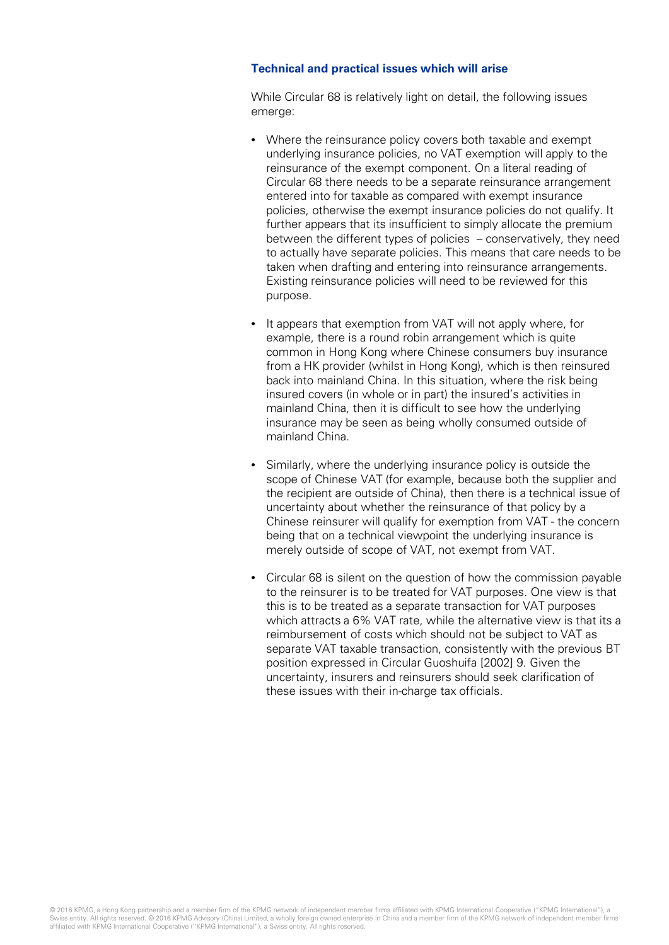### **Technical and practical issues which will arise**

While Circular 68 is relatively light on detail, the following issues emerge:

- Where the reinsurance policy covers both taxable and exempt underlying insurance policies, no VAT exemption will apply to the reinsurance of the exempt component. On a literal reading of Circular 68 there needs to be a separate reinsurance arrangement entered into for taxable as compared with exempt insurance policies, otherwise the exempt insurance policies do not qualify. It further appears that its insufficient to simply allocate the premium between the different types of policies – conservatively, they need to actually have separate policies. This means that care needs to be taken when drafting and entering into reinsurance arrangements. Existing reinsurance policies will need to be reviewed for this purpose.
- It appears that exemption from VAT will not apply where, for example, there is a round robin arrangement which is quite common in Hong Kong where Chinese consumers buy insurance from a HK provider (whilst in Hong Kong), which is then reinsured back into mainland China. In this situation, where the risk being insured covers (in whole or in part) the insured's activities in mainland China, then it is difficult to see how the underlying insurance may be seen as being wholly consumed outside of mainland China.
- Similarly, where the underlying insurance policy is outside the scope of Chinese VAT (for example, because both the supplier and the recipient are outside of China), then there is a technical issue of uncertainty about whether the reinsurance of that policy by a Chinese reinsurer will qualify for exemption from VAT - the concern being that on a technical viewpoint the underlying insurance is merely outside of scope of VAT, not exempt from VAT.
- Circular 68 is silent on the question of how the commission payable to the reinsurer is to be treated for VAT purposes. One view is that this is to be treated as a separate transaction for VAT purposes which attracts a 6% VAT rate, while the alternative view is that its a reimbursement of costs which should not be subject to VAT as separate VAT taxable transaction, consistently with the previous BT position expressed in Circular Guoshuifa [2002] 9. Given the uncertainty, insurers and reinsurers should seek clarification of these issues with their in-charge tax officials.